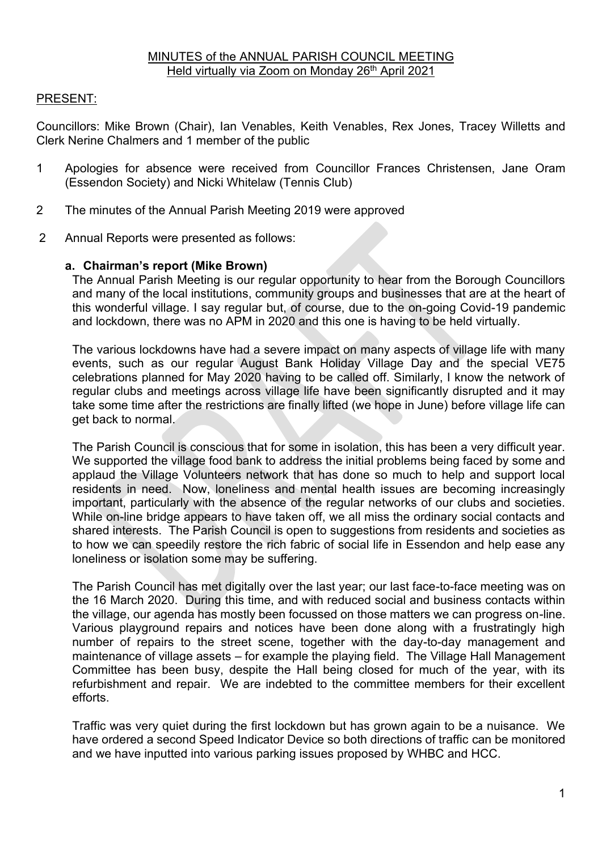## PRESENT:

Councillors: Mike Brown (Chair), Ian Venables, Keith Venables, Rex Jones, Tracey Willetts and Clerk Nerine Chalmers and 1 member of the public

- 1 Apologies for absence were received from Councillor Frances Christensen, Jane Oram (Essendon Society) and Nicki Whitelaw (Tennis Club)
- 2 The minutes of the Annual Parish Meeting 2019 were approved
- 2 Annual Reports were presented as follows:

### **a. Chairman's report (Mike Brown)**

The Annual Parish Meeting is our regular opportunity to hear from the Borough Councillors and many of the local institutions, community groups and businesses that are at the heart of this wonderful village. I say regular but, of course, due to the on-going Covid-19 pandemic and lockdown, there was no APM in 2020 and this one is having to be held virtually.

The various lockdowns have had a severe impact on many aspects of village life with many events, such as our regular August Bank Holiday Village Day and the special VE75 celebrations planned for May 2020 having to be called off. Similarly, I know the network of regular clubs and meetings across village life have been significantly disrupted and it may take some time after the restrictions are finally lifted (we hope in June) before village life can get back to normal.

The Parish Council is conscious that for some in isolation, this has been a very difficult year. We supported the village food bank to address the initial problems being faced by some and applaud the Village Volunteers network that has done so much to help and support local residents in need. Now, loneliness and mental health issues are becoming increasingly important, particularly with the absence of the regular networks of our clubs and societies. While on-line bridge appears to have taken off, we all miss the ordinary social contacts and shared interests. The Parish Council is open to suggestions from residents and societies as to how we can speedily restore the rich fabric of social life in Essendon and help ease any loneliness or isolation some may be suffering.

The Parish Council has met digitally over the last year; our last face-to-face meeting was on the 16 March 2020. During this time, and with reduced social and business contacts within the village, our agenda has mostly been focussed on those matters we can progress on-line. Various playground repairs and notices have been done along with a frustratingly high number of repairs to the street scene, together with the day-to-day management and maintenance of village assets – for example the playing field. The Village Hall Management Committee has been busy, despite the Hall being closed for much of the year, with its refurbishment and repair. We are indebted to the committee members for their excellent efforts.

Traffic was very quiet during the first lockdown but has grown again to be a nuisance. We have ordered a second Speed Indicator Device so both directions of traffic can be monitored and we have inputted into various parking issues proposed by WHBC and HCC.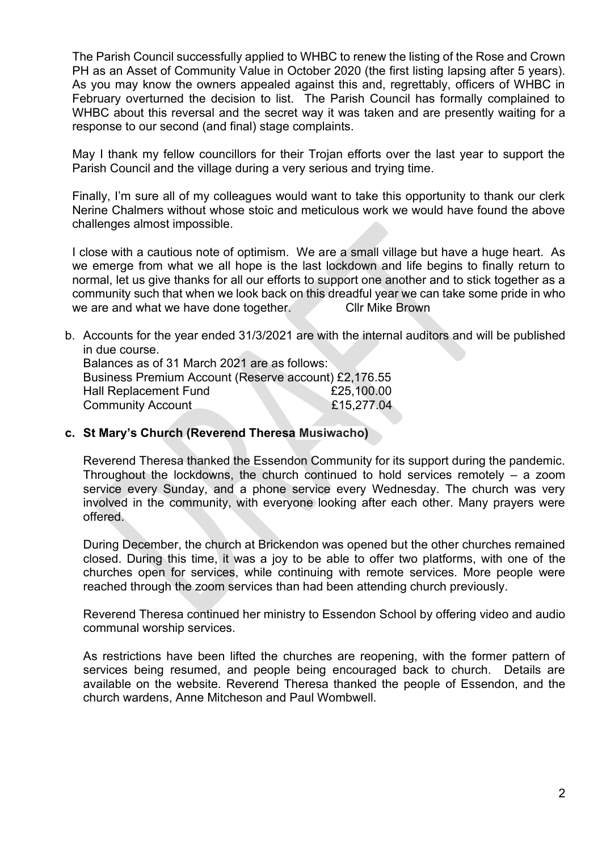The Parish Council successfully applied to WHBC to renew the listing of the Rose and Crown PH as an Asset of Community Value in October 2020 (the first listing lapsing after 5 years). As you may know the owners appealed against this and, regrettably, officers of WHBC in February overturned the decision to list. The Parish Council has formally complained to WHBC about this reversal and the secret way it was taken and are presently waiting for a response to our second (and final) stage complaints.

May I thank my fellow councillors for their Trojan efforts over the last year to support the Parish Council and the village during a very serious and trying time.

Finally, I'm sure all of my colleagues would want to take this opportunity to thank our clerk Nerine Chalmers without whose stoic and meticulous work we would have found the above challenges almost impossible.

I close with a cautious note of optimism. We are a small village but have a huge heart. As we emerge from what we all hope is the last lockdown and life begins to finally return to normal, let us give thanks for all our efforts to support one another and to stick together as a community such that when we look back on this dreadful year we can take some pride in who we are and what we have done together. Cllr Mike Brown

b. Accounts for the year ended 31/3/2021 are with the internal auditors and will be published in due course.

Balances as of 31 March 2021 are as follows: Business Premium Account (Reserve account) £2,176.55 Hall Replacement Fund £25,100.00 Community Account £15,277.04

#### **c. St Mary's Church (Reverend Theresa Musiwacho)**

Reverend Theresa thanked the Essendon Community for its support during the pandemic. Throughout the lockdowns, the church continued to hold services remotely – a zoom service every Sunday, and a phone service every Wednesday. The church was very involved in the community, with everyone looking after each other. Many prayers were offered.

During December, the church at Brickendon was opened but the other churches remained closed. During this time, it was a joy to be able to offer two platforms, with one of the churches open for services, while continuing with remote services. More people were reached through the zoom services than had been attending church previously.

Reverend Theresa continued her ministry to Essendon School by offering video and audio communal worship services.

As restrictions have been lifted the churches are reopening, with the former pattern of services being resumed, and people being encouraged back to church. Details are available on the website. Reverend Theresa thanked the people of Essendon, and the church wardens, Anne Mitcheson and Paul Wombwell.